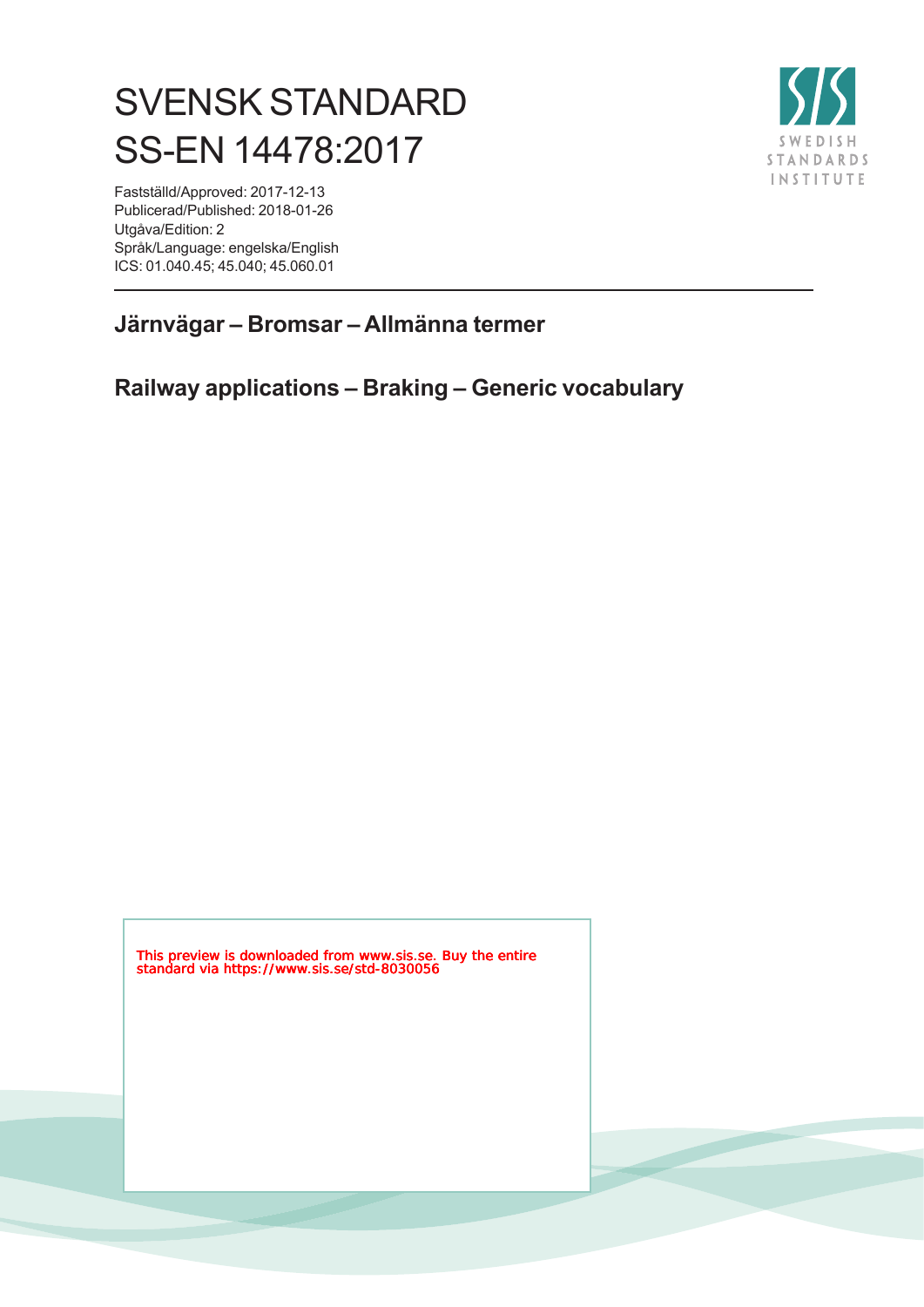# SVENSK STANDARD SS-EN 14478:2017



Fastställd/Approved: 2017-12-13 Publicerad/Published: 2018-01-26 Utgåva/Edition: 2 Språk/Language: engelska/English ICS: 01.040.45; 45.040; 45.060.01

**Järnvägar – Bromsar – Allmänna termer**

**Railway applications – Braking – Generic vocabulary**

This preview is downloaded from www.sis.se. Buy the entire standard via https://www.sis.se/std-8030056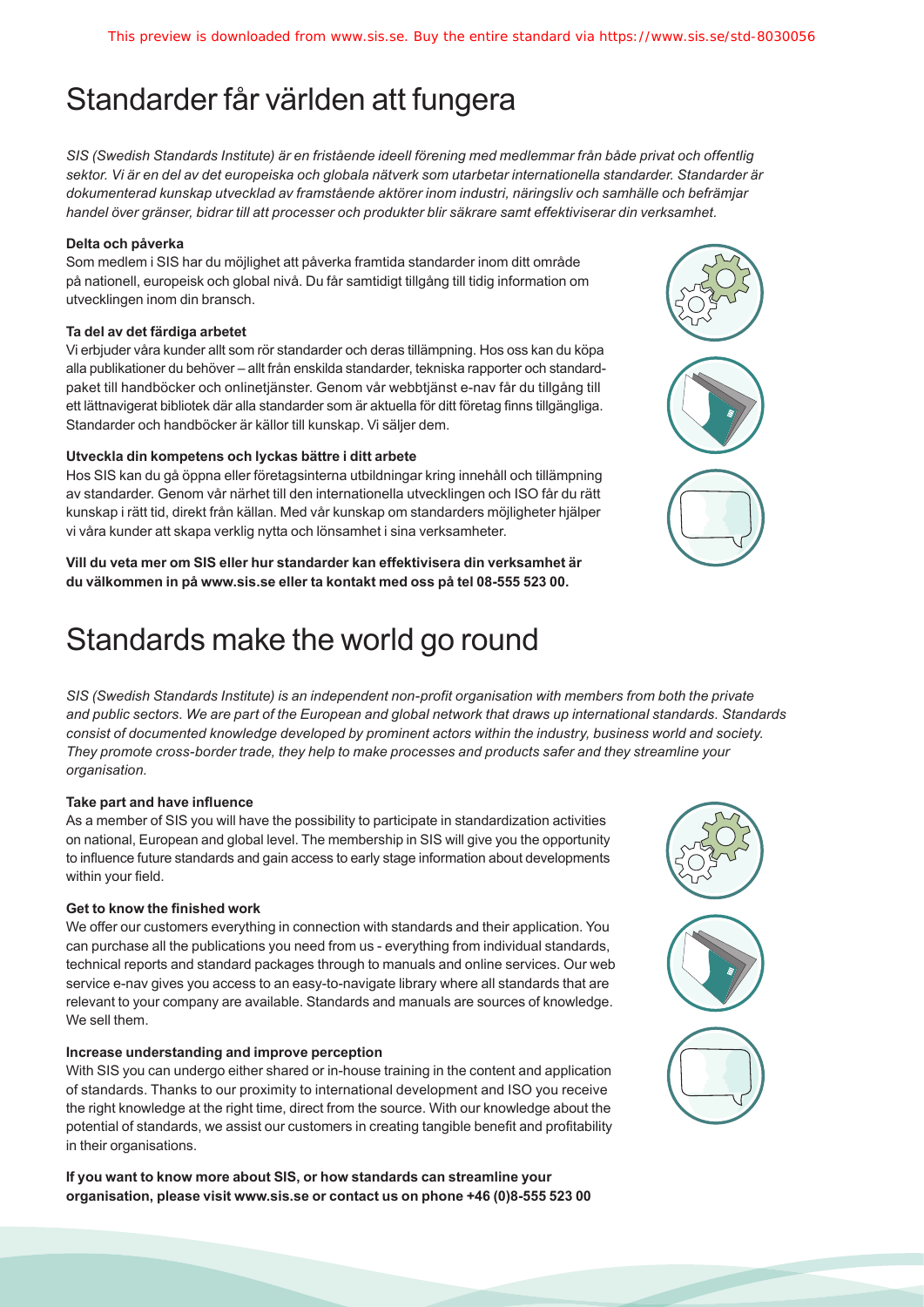# Standarder får världen att fungera

*SIS (Swedish Standards Institute) är en fristående ideell förening med medlemmar från både privat och offentlig sektor. Vi är en del av det europeiska och globala nätverk som utarbetar internationella standarder. Standarder är dokumenterad kunskap utvecklad av framstående aktörer inom industri, näringsliv och samhälle och befrämjar handel över gränser, bidrar till att processer och produkter blir säkrare samt effektiviserar din verksamhet.* 

#### **Delta och påverka**

Som medlem i SIS har du möjlighet att påverka framtida standarder inom ditt område på nationell, europeisk och global nivå. Du får samtidigt tillgång till tidig information om utvecklingen inom din bransch.

### **Ta del av det färdiga arbetet**

Vi erbjuder våra kunder allt som rör standarder och deras tillämpning. Hos oss kan du köpa alla publikationer du behöver – allt från enskilda standarder, tekniska rapporter och standardpaket till handböcker och onlinetjänster. Genom vår webbtjänst e-nav får du tillgång till ett lättnavigerat bibliotek där alla standarder som är aktuella för ditt företag finns tillgängliga. Standarder och handböcker är källor till kunskap. Vi säljer dem.

### **Utveckla din kompetens och lyckas bättre i ditt arbete**

Hos SIS kan du gå öppna eller företagsinterna utbildningar kring innehåll och tillämpning av standarder. Genom vår närhet till den internationella utvecklingen och ISO får du rätt kunskap i rätt tid, direkt från källan. Med vår kunskap om standarders möjligheter hjälper vi våra kunder att skapa verklig nytta och lönsamhet i sina verksamheter.

**Vill du veta mer om SIS eller hur standarder kan effektivisera din verksamhet är du välkommen in på www.sis.se eller ta kontakt med oss på tel 08-555 523 00.**

# Standards make the world go round

*SIS (Swedish Standards Institute) is an independent non-profit organisation with members from both the private and public sectors. We are part of the European and global network that draws up international standards. Standards consist of documented knowledge developed by prominent actors within the industry, business world and society. They promote cross-border trade, they help to make processes and products safer and they streamline your organisation.*

### **Take part and have influence**

As a member of SIS you will have the possibility to participate in standardization activities on national, European and global level. The membership in SIS will give you the opportunity to influence future standards and gain access to early stage information about developments within your field.

#### **Get to know the finished work**

We offer our customers everything in connection with standards and their application. You can purchase all the publications you need from us - everything from individual standards, technical reports and standard packages through to manuals and online services. Our web service e-nav gives you access to an easy-to-navigate library where all standards that are relevant to your company are available. Standards and manuals are sources of knowledge. We sell them.

#### **Increase understanding and improve perception**

With SIS you can undergo either shared or in-house training in the content and application of standards. Thanks to our proximity to international development and ISO you receive the right knowledge at the right time, direct from the source. With our knowledge about the potential of standards, we assist our customers in creating tangible benefit and profitability in their organisations.

**If you want to know more about SIS, or how standards can streamline your organisation, please visit www.sis.se or contact us on phone +46 (0)8-555 523 00**



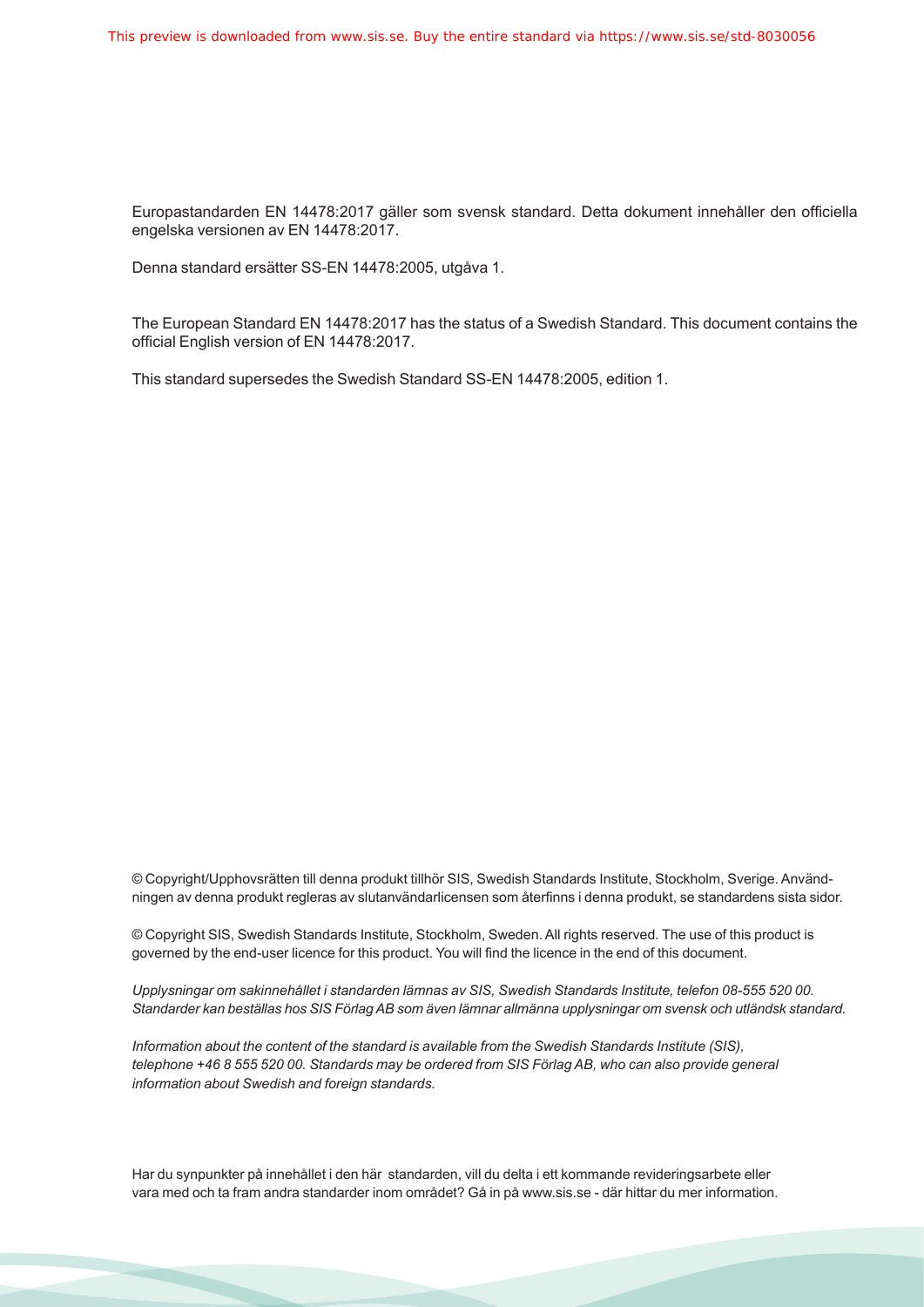Europastandarden EN 14478:2017 gäller som svensk standard. Detta dokument innehåller den officiella engelska versionen av EN 14478:2017.

Denna standard ersätter SS-EN 14478:2005, utgåva 1.

The European Standard EN 14478:2017 has the status of a Swedish Standard. This document contains the official English version of EN 14478:2017.

This standard supersedes the Swedish Standard SS-EN 14478:2005, edition 1.

© Copyright/Upphovsrätten till denna produkt tillhör SIS, Swedish Standards Institute, Stockholm, Sverige. Användningen av denna produkt regleras av slutanvändarlicensen som återfinns i denna produkt, se standardens sista sidor.

© Copyright SIS, Swedish Standards Institute, Stockholm, Sweden. All rights reserved. The use of this product is governed by the end-user licence for this product. You will find the licence in the end of this document.

*Upplysningar om sakinnehållet i standarden lämnas av SIS, Swedish Standards Institute, telefon 08-555 520 00. Standarder kan beställas hos SIS Förlag AB som även lämnar allmänna upplysningar om svensk och utländsk standard.*

*Information about the content of the standard is available from the Swedish Standards Institute (SIS), telephone +46 8 555 520 00. Standards may be ordered from SIS Förlag AB, who can also provide general information about Swedish and foreign standards.*

Har du synpunkter på innehållet i den här standarden, vill du delta i ett kommande revideringsarbete eller vara med och ta fram andra standarder inom området? Gå in på www.sis.se - där hittar du mer information.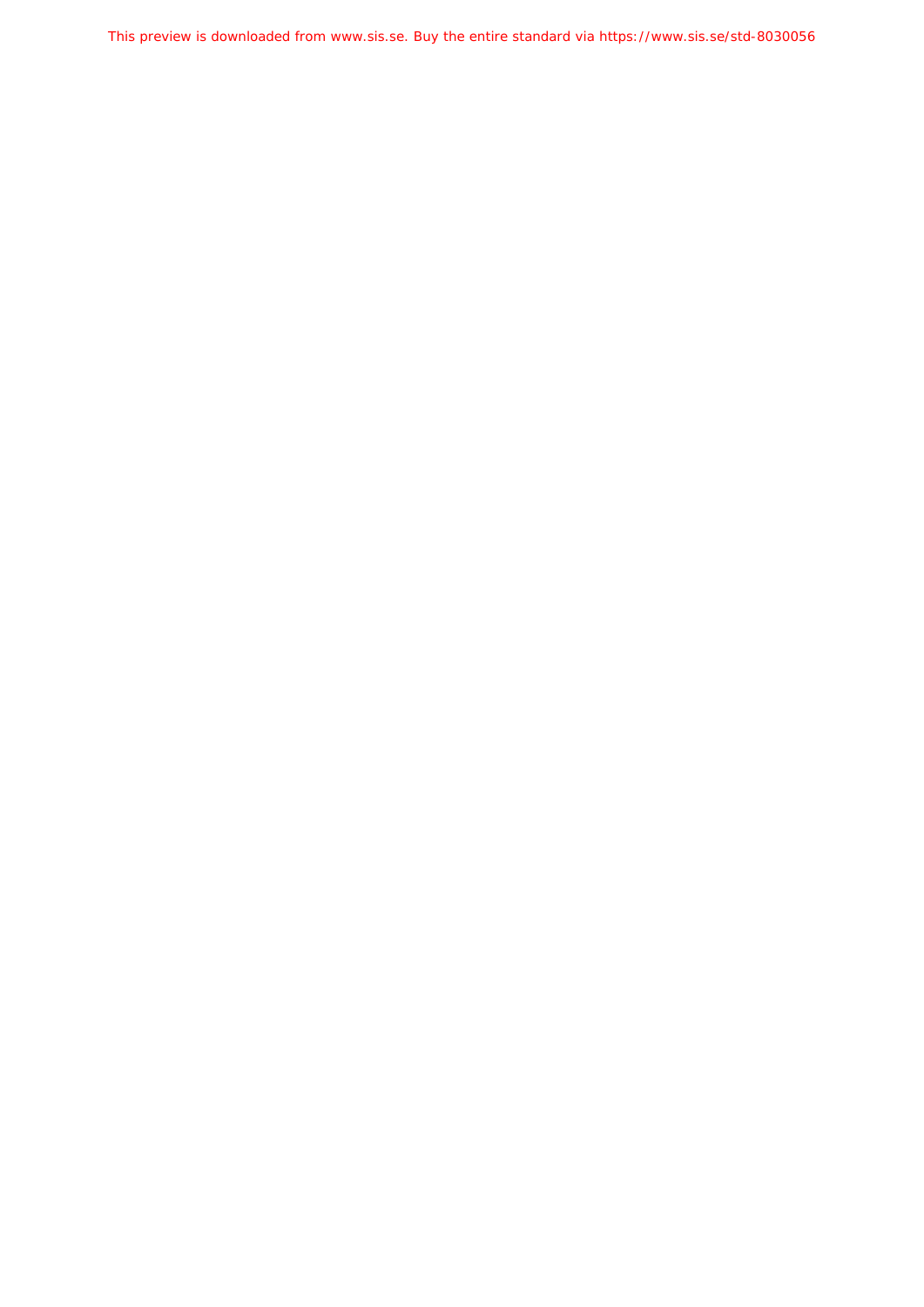This preview is downloaded from www.sis.se. Buy the entire standard via https://www.sis.se/std-8030056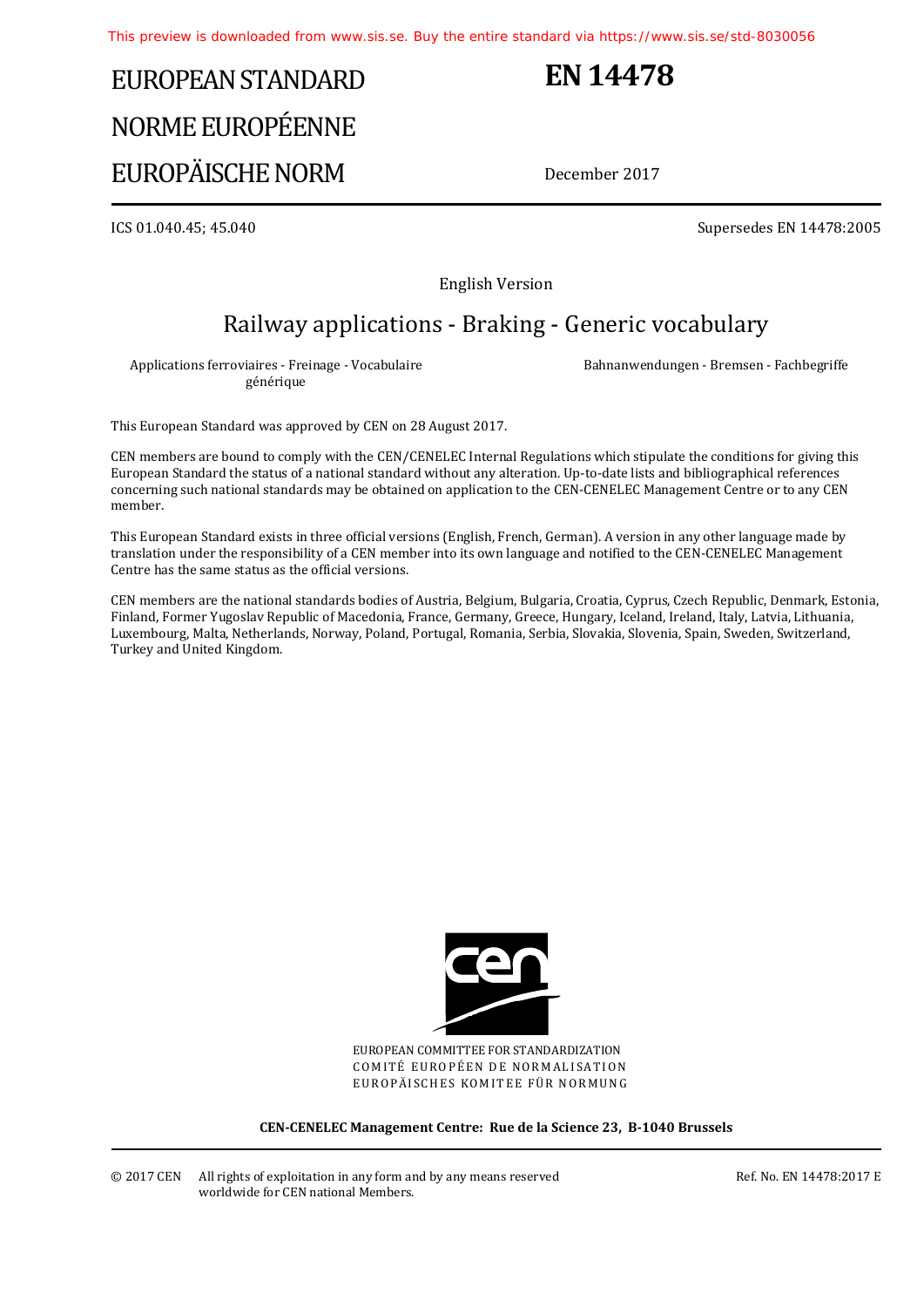# EUROPEAN STANDARD NORME EUROPÉENNE EUROPÄISCHE NORM

## **EN 14478**

December 2017

ICS 01.040.45; 45.040 Supersedes EN 14478:2005

English Version

### Railway applications - Braking - Generic vocabulary

Applications ferroviaires - Freinage - Vocabulaire générique

Bahnanwendungen - Bremsen - Fachbegriffe

This European Standard was approved by CEN on 28 August 2017.

CEN members are bound to comply with the CEN/CENELEC Internal Regulations which stipulate the conditions for giving this European Standard the status of a national standard without any alteration. Up-to-date lists and bibliographical references concerning such national standards may be obtained on application to the CEN-CENELEC Management Centre or to any CEN member.

This European Standard exists in three official versions (English, French, German). A version in any other language made by translation under the responsibility of a CEN member into its own language and notified to the CEN-CENELEC Management Centre has the same status as the official versions.

CEN members are the national standards bodies of Austria, Belgium, Bulgaria, Croatia, Cyprus, Czech Republic, Denmark, Estonia, Finland, Former Yugoslav Republic of Macedonia, France, Germany, Greece, Hungary, Iceland, Ireland, Italy, Latvia, Lithuania, Luxembourg, Malta, Netherlands, Norway, Poland, Portugal, Romania, Serbia, Slovakia, Slovenia, Spain, Sweden, Switzerland, Turkey and United Kingdom.



EUROPEAN COMMITTEE FOR STANDARDIZATION COMITÉ EUROPÉEN DE NORMALISATION EUROPÄISCHES KOMITEE FÜR NORMUNG

**CEN-CENELEC Management Centre: Rue de la Science 23, B-1040 Brussels** 

Ref. No. EN 14478:2017 E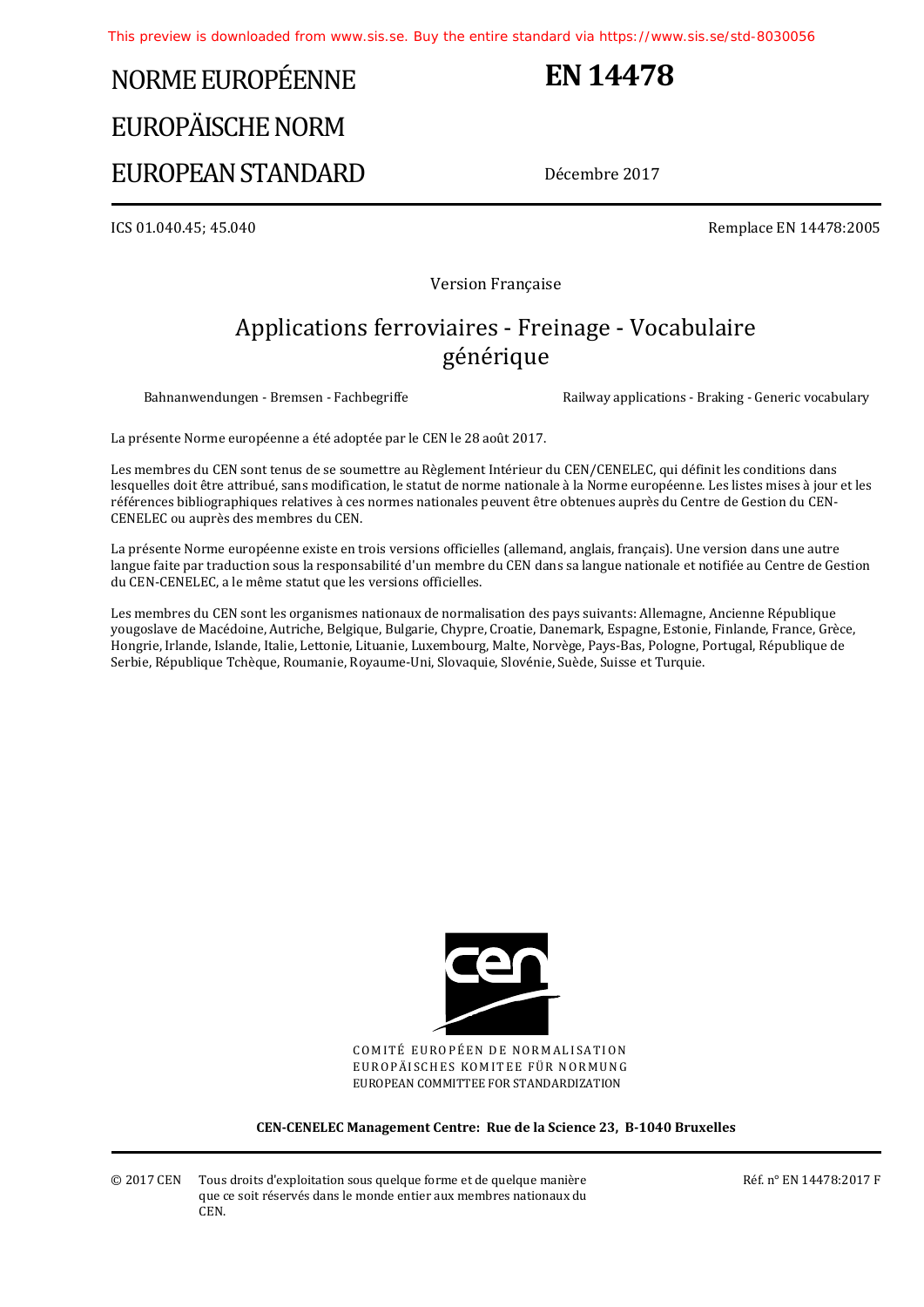# NORME EUROPÉENNE EUROPÄISCHE NORM EUROPEAN STANDARD

## **EN 14478**

Décembre 2017

ICS 01.040.45; 45.040 Remplace EN 14478:2005

Version Française

### Applications ferroviaires - Freinage - Vocabulaire générique

Bahnanwendungen - Bremsen - Fachbegriffe Railway applications - Braking - Generic vocabulary

La présente Norme européenne a été adoptée par le CEN le 28 août 2017.

Les membres du CEN sont tenus de se soumettre au Règlement Intérieur du CEN/CENELEC, qui définit les conditions dans lesquelles doit être attribué, sans modification, le statut de norme nationale à la Norme européenne. Les listes mises à jour et les références bibliographiques relatives à ces normes nationales peuvent être obtenues auprès du Centre de Gestion du CEN-CENELEC ou auprès des membres du CEN.

La présente Norme européenne existe en trois versions officielles (allemand, anglais, français). Une version dans une autre langue faite par traduction sous la responsabilité d'un membre du CEN dans sa langue nationale et notifiée au Centre de Gestion du CEN-CENELEC, a le même statut que les versions officielles.

Les membres du CEN sont les organismes nationaux de normalisation des pays suivants: Allemagne, Ancienne République yougoslave de Macédoine, Autriche, Belgique, Bulgarie, Chypre, Croatie, Danemark, Espagne, Estonie, Finlande, France, Grèce, Hongrie, Irlande, Islande, Italie, Lettonie, Lituanie, Luxembourg, Malte, Norvège, Pays-Bas, Pologne, Portugal, République de Serbie, République Tchèque, Roumanie, Royaume-Uni, Slovaquie, Slovénie, Suède, Suisse et Turquie.



COMITÉ EUROPÉEN DE NORMALISATION EUROPÄISCHES KOMITEE FÜR NORMUNG EUROPEAN COMMITTEE FOR STANDARDIZATION

**CEN-CENELEC Management Centre: Rue de la Science 23, B-1040 Bruxelles** 

© 2017 CEN Tous droits d'exploitation sous quelque forme et de quelque manière que ce soit réservés dans le monde entier aux membres nationaux du CEN.

Réf. n° EN 14478:2017 F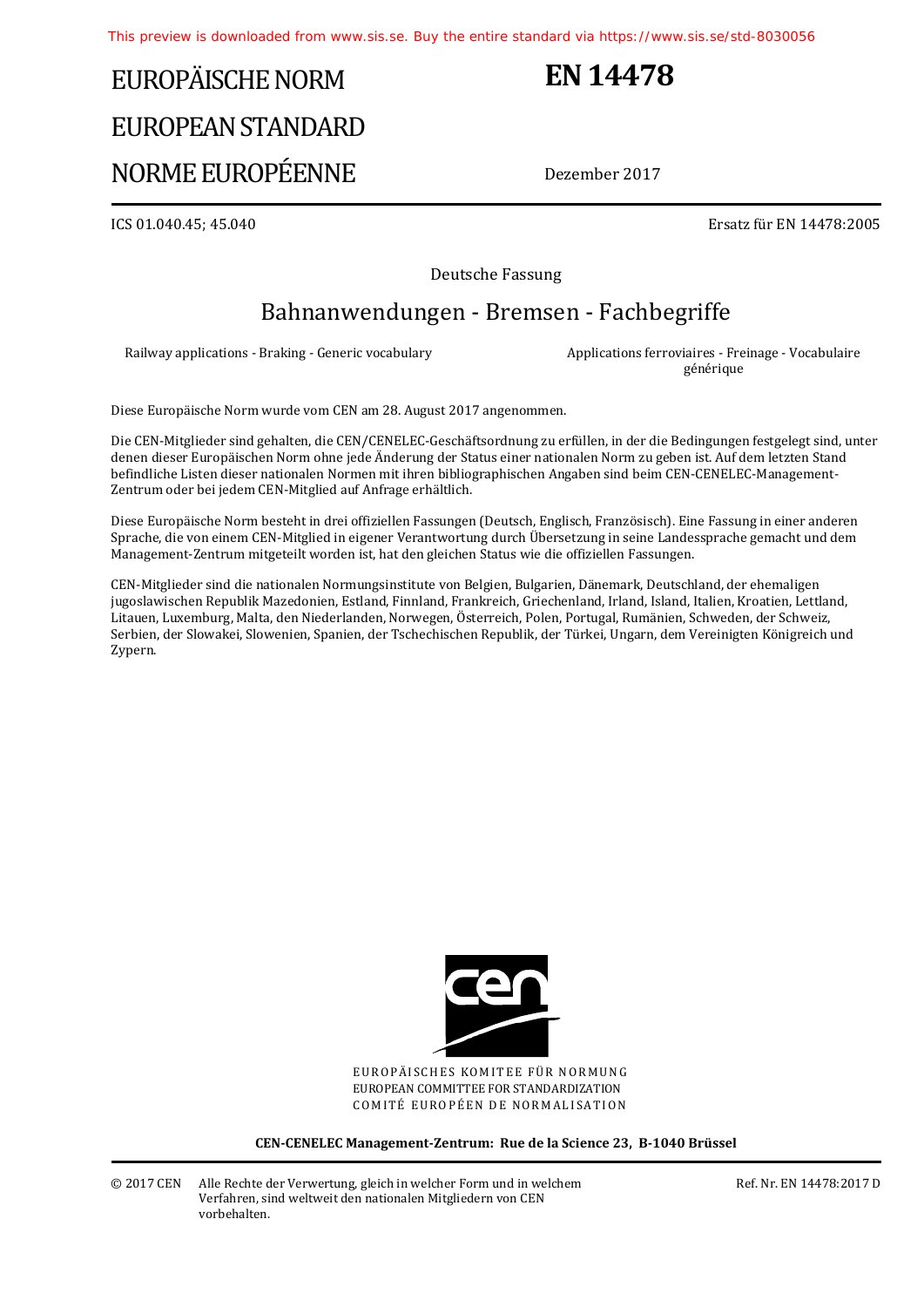# EUROPÄISCHE NORM EUROPEAN STANDARD NORME EUROPÉENNE

## **EN 14478**

Dezember 2017

ICS 01.040.45; 45.040 Ersatz für EN 14478:2005

Deutsche Fassung

### Bahnanwendungen - Bremsen - Fachbegriffe

Railway applications - Braking - Generic vocabulary Applications ferroviaires - Freinage - Vocabulaire

générique

Diese Europäische Norm wurde vom CEN am 28. August 2017 angenommen.

Die CEN-Mitglieder sind gehalten, die CEN/CENELEC-Geschäftsordnung zu erfüllen, in der die Bedingungen festgelegt sind, unter denen dieser Europäischen Norm ohne jede Änderung der Status einer nationalen Norm zu geben ist. Auf dem letzten Stand befindliche Listen dieser nationalen Normen mit ihren bibliographischen Angaben sind beim CEN-CENELEC-Management-Zentrum oder bei jedem CEN-Mitglied auf Anfrage erhältlich.

Diese Europäische Norm besteht in drei offiziellen Fassungen (Deutsch, Englisch, Französisch). Eine Fassung in einer anderen Sprache, die von einem CEN-Mitglied in eigener Verantwortung durch Übersetzung in seine Landessprache gemacht und dem Management-Zentrum mitgeteilt worden ist, hat den gleichen Status wie die offiziellen Fassungen.

CEN-Mitglieder sind die nationalen Normungsinstitute von Belgien, Bulgarien, Dänemark, Deutschland, der ehemaligen jugoslawischen Republik Mazedonien, Estland, Finnland, Frankreich, Griechenland, Irland, Island, Italien, Kroatien, Lettland, Litauen, Luxemburg, Malta, den Niederlanden, Norwegen, Österreich, Polen, Portugal, Rumänien, Schweden, der Schweiz, Serbien, der Slowakei, Slowenien, Spanien, der Tschechischen Republik, der Türkei, Ungarn, dem Vereinigten Königreich und Zypern.



EUROPÄISCHES KOMITEE FÜR NORMUNG EUROPEAN COMMITTEE FOR STANDARDIZATION COMITÉ EUROPÉEN DE NORMALISATION

**CEN-CENELEC Management-Zentrum: Rue de la Science 23, B-1040 Brüssel** 

© 2017 CEN Alle Rechte der Verwertung, gleich in welcher Form und in welchem Verfahren, sind weltweit den nationalen Mitgliedern von CEN vorbehalten.

Ref. Nr. EN 14478:2017 D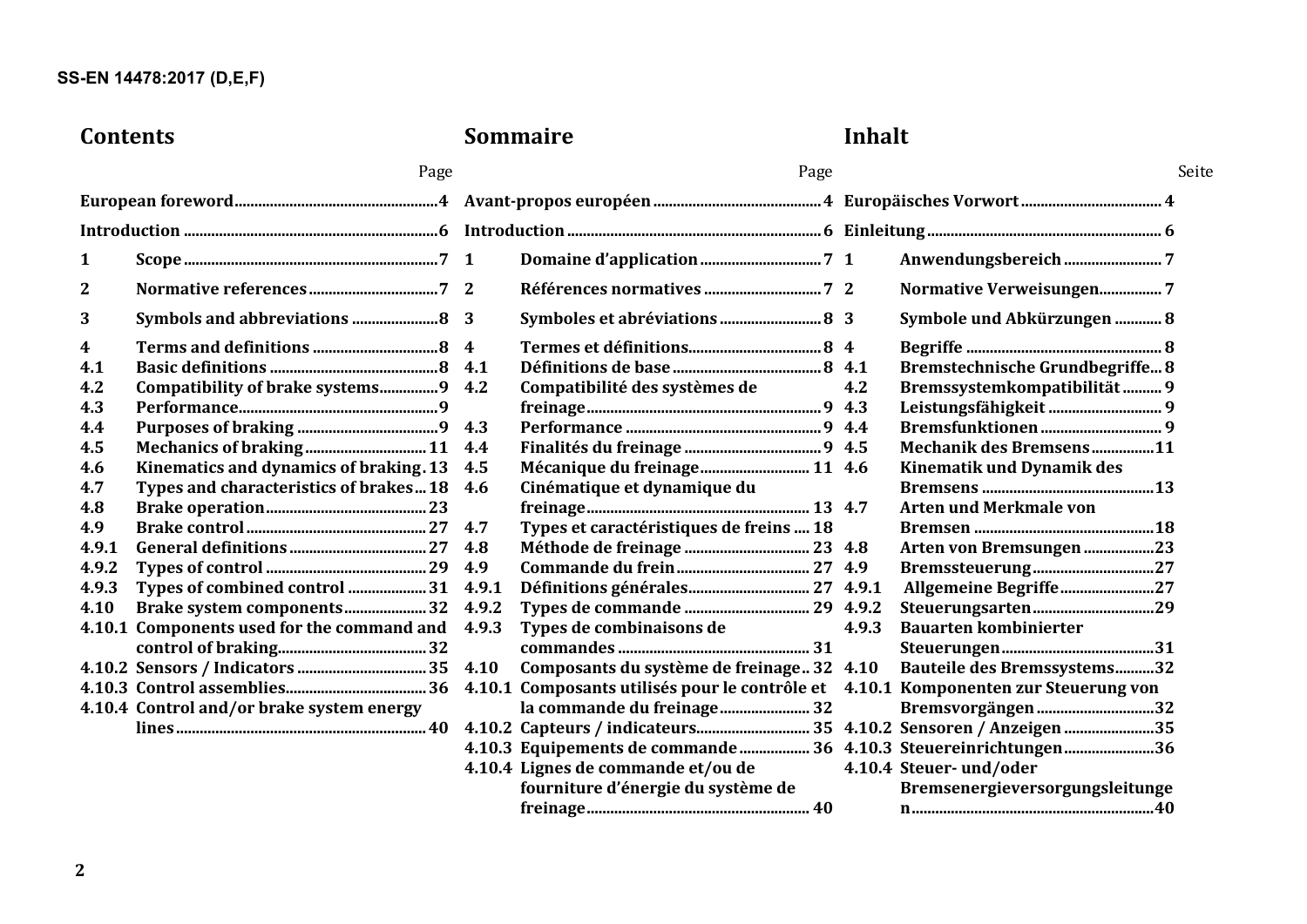| <b>Contents</b> |                                            | <b>Sommaire</b> |                                                                                     | Inhalt |                                    |       |
|-----------------|--------------------------------------------|-----------------|-------------------------------------------------------------------------------------|--------|------------------------------------|-------|
|                 | Page                                       |                 | Page                                                                                |        |                                    | Seite |
|                 |                                            |                 |                                                                                     |        |                                    |       |
|                 |                                            |                 |                                                                                     |        |                                    |       |
| 1               |                                            |                 |                                                                                     |        |                                    |       |
| 2               |                                            |                 |                                                                                     |        |                                    |       |
| 3               |                                            |                 | Symboles et abréviations  8 3                                                       |        | Symbole und Abkürzungen  8         |       |
| 4               |                                            |                 |                                                                                     |        |                                    |       |
| 4.1             |                                            | 4.1             |                                                                                     |        | Bremstechnische Grundbegriffe 8    |       |
| 4.2             | Compatibility of brake systems9 4.2        |                 | Compatibilité des systèmes de                                                       | 4.2    | Bremssystemkompatibilität 9        |       |
| 4.3             |                                            |                 |                                                                                     |        |                                    |       |
| 4.4             |                                            | 4.3             |                                                                                     |        |                                    |       |
| 4.5             |                                            | 4.4             |                                                                                     |        | Mechanik des Bremsens11            |       |
| 4.6             | Kinematics and dynamics of braking. 13     | 4.5             | Mécanique du freinage 11 4.6                                                        |        | <b>Kinematik und Dynamik des</b>   |       |
| 4.7             | Types and characteristics of brakes18      | 4.6             | Cinématique et dynamique du                                                         |        |                                    |       |
| 4.8             |                                            |                 |                                                                                     |        | Arten und Merkmale von             |       |
| 4.9             |                                            | 4.7             | Types et caractéristiques de freins  18                                             |        |                                    |       |
| 4.9.1           |                                            | 4.8             | Méthode de freinage  23 4.8                                                         |        | Arten von Bremsungen 23            |       |
| 4.9.2           |                                            | 4.9             |                                                                                     |        | Bremssteuerung27                   |       |
| 4.9.3           | Types of combined control  31              | 4.9.1           | Définitions générales 27 4.9.1                                                      |        | Allgemeine Begriffe27              |       |
| 4.10            | Brake system components32                  | 4.9.2           |                                                                                     |        | Steuerungsarten29                  |       |
|                 | 4.10.1 Components used for the command and | 4.9.3           | Types de combinaisons de                                                            | 4.9.3  | <b>Bauarten kombinierter</b>       |       |
|                 |                                            |                 |                                                                                     |        |                                    |       |
|                 |                                            | 4.10            | Composants du système de freinage 32 4.10                                           |        | <b>Bauteile des Bremssystems32</b> |       |
|                 |                                            |                 | 4.10.1 Composants utilisés pour le contrôle et 4.10.1 Komponenten zur Steuerung von |        |                                    |       |
|                 | 4.10.4 Control and/or brake system energy  |                 |                                                                                     |        | Bremsvorgängen 32                  |       |
|                 |                                            |                 |                                                                                     |        |                                    |       |
|                 |                                            |                 | 4.10.3 Equipements de commande  36 4.10.3 Steuereinrichtungen 36                    |        |                                    |       |
|                 |                                            |                 | 4.10.4 Lignes de commande et/ou de                                                  |        | 4.10.4 Steuer- und/oder            |       |
|                 |                                            |                 |                                                                                     |        |                                    |       |
|                 |                                            |                 | fourniture d'énergie du système de                                                  |        | Bremsenergieversorgungsleitunge    |       |

**freinage......................................................... 40**

**n ..............................................................40**

**2**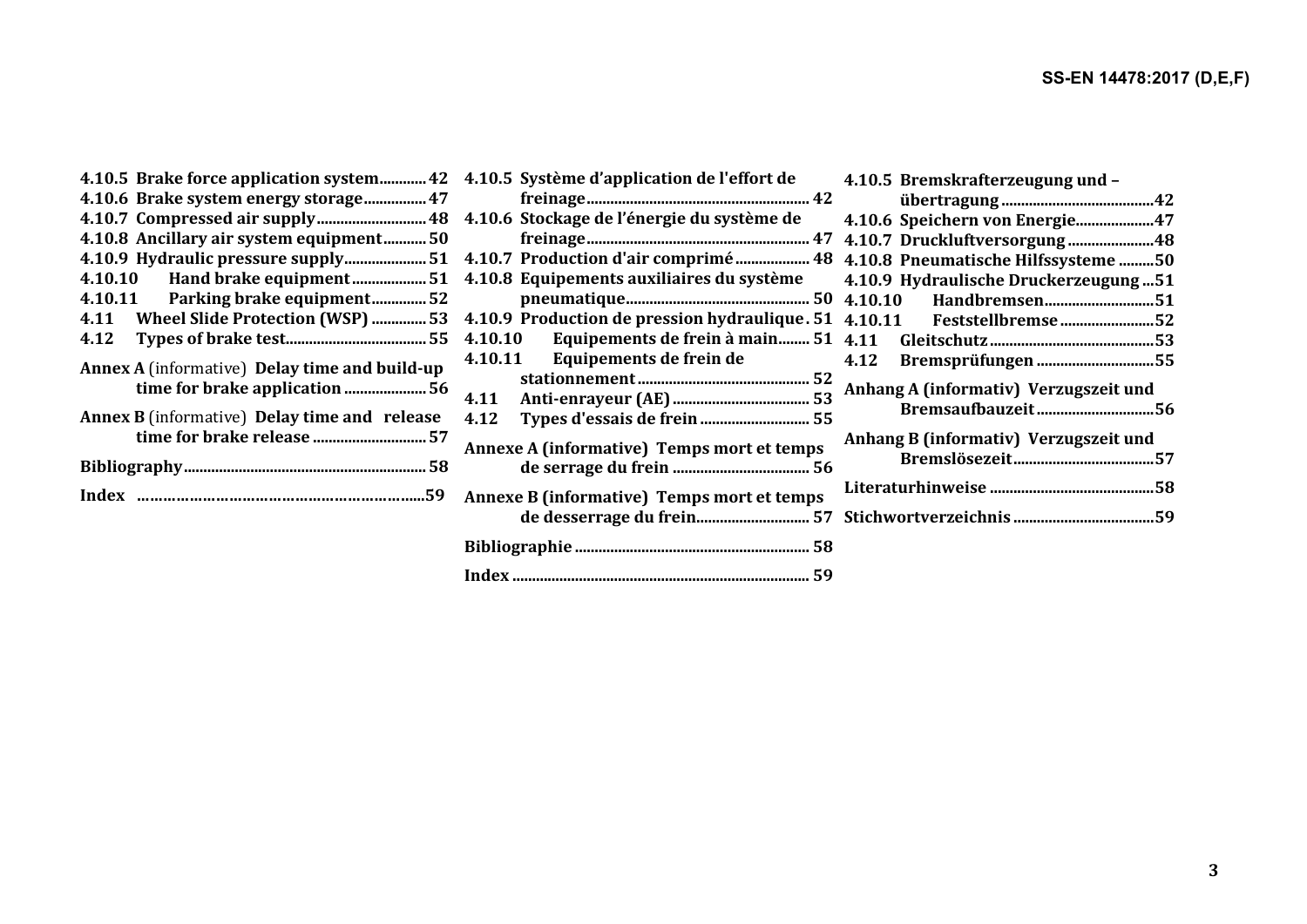| 4.10.5 Brake force application system 42 4.10.5 Système d'application de l'effort de |                                                                                                               | 4.10.5 Bremskrafterzeugung und -      |  |
|--------------------------------------------------------------------------------------|---------------------------------------------------------------------------------------------------------------|---------------------------------------|--|
| 4.10.6 Brake system energy storage 47                                                |                                                                                                               |                                       |  |
|                                                                                      | 47 4.10.7 Compressed air supply 48 4.10.6 Stockage de l'énergie du système de 4.10.6 Speichern von Energie 47 |                                       |  |
| 4.10.8 Ancillary air system equipment50                                              |                                                                                                               |                                       |  |
|                                                                                      | 4.10.9 Hydraulic pressure supply51 4.10.7 Production d'air comprimé  48 4.10.8 Pneumatische Hilfssysteme 50   |                                       |  |
| 4.10.10                                                                              |                                                                                                               | 4.10.9 Hydraulische Druckerzeugung51  |  |
| 4.10.11<br>Parking brake equipment52                                                 |                                                                                                               | Handbremsen51                         |  |
| 4.11                                                                                 | Wheel Slide Protection (WSP) 53 4.10.9 Production de pression hydraulique. 51 4.10.11                         | Feststellbremse52                     |  |
| 4.12                                                                                 |                                                                                                               |                                       |  |
| Annex A (informative) Delay time and build-up                                        | 4.10.11<br>Equipements de frein de                                                                            | Bremsprüfungen 55<br>4.12             |  |
|                                                                                      | 4.11                                                                                                          | Bremsaufbauzeit56                     |  |
| Annex B (informative) Delay time and release                                         | 4.12                                                                                                          |                                       |  |
|                                                                                      | Annexe A (informative) Temps mort et temps                                                                    | Anhang B (informativ) Verzugszeit und |  |
|                                                                                      |                                                                                                               |                                       |  |
|                                                                                      |                                                                                                               |                                       |  |
|                                                                                      |                                                                                                               |                                       |  |
|                                                                                      |                                                                                                               |                                       |  |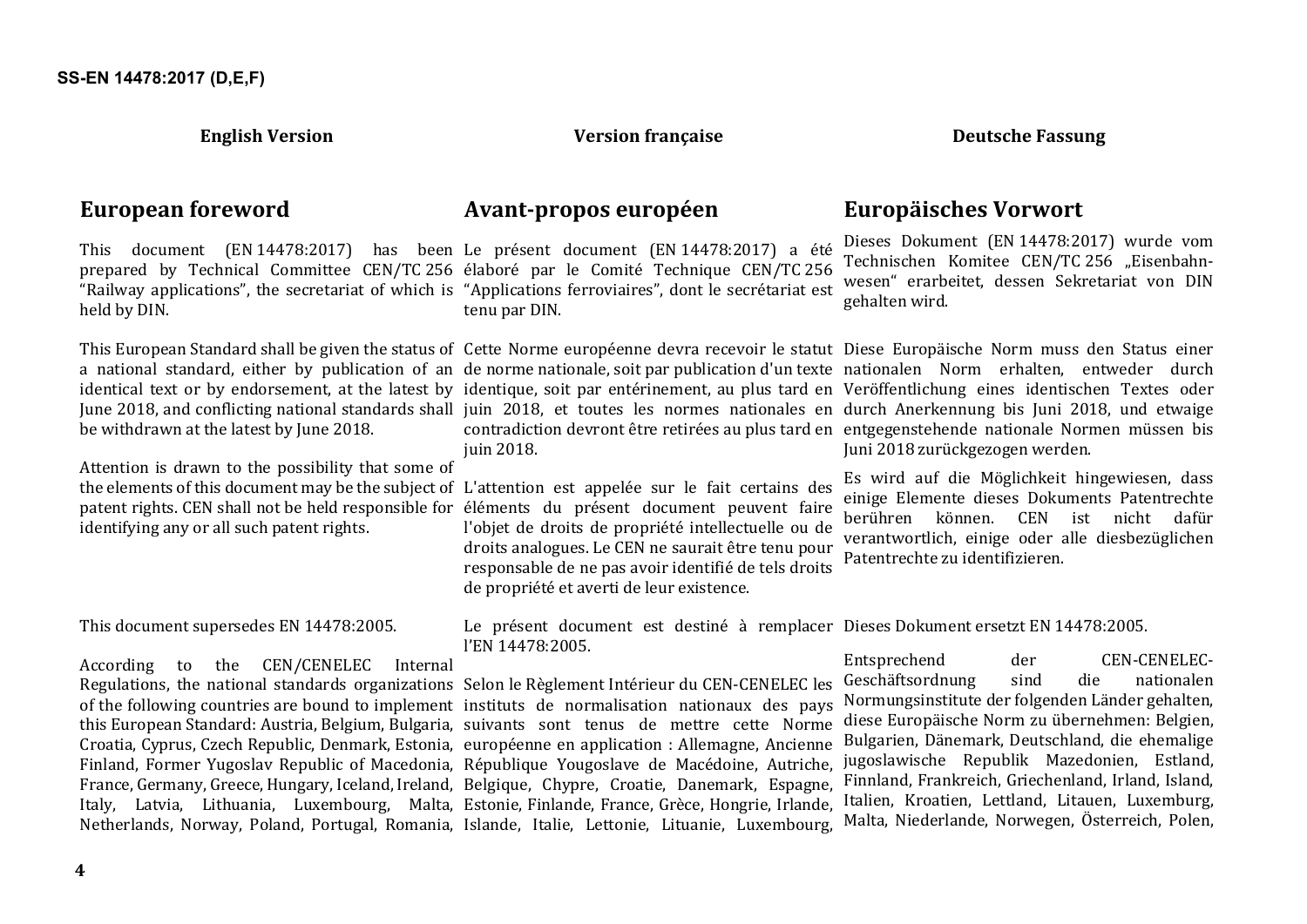**English Version Version française Deutsche Fassung**

### **European foreword**

held by DIN.

be withdrawn at the latest by June 2018.

Attention is drawn to the possibility that some of the elements of this document may be the subject of L'attention est appelée sur le fait certains des patent rights. CEN shall not be held responsible for éléments du présent document peuvent faire identifying any or all such patent rights.

This document supersedes EN 14478:2005.

According to the CEN/CENELEC Internal Regulations, the national standards organizations Selon le Règlement Intérieur du CEN-CENELEC les of the following countries are bound to implement instituts de normalisation nationaux des pays this European Standard: Austria, Belgium, Bulgaria, suivants sont tenus de mettre cette Norme Croatia, Cyprus, Czech Republic, Denmark, Estonia, européenne en application : Allemagne, Ancienne Finland, Former Yugoslav Republic of Macedonia, République Yougoslave de Macédoine, Autriche, France, Germany, Greece, Hungary, Iceland, Ireland, Belgique, Chypre, Croatie, Danemark, Espagne, Italy, Latvia, Lithuania, Luxembourg, Malta, Estonie, Finlande, France, Grèce, Hongrie, Irlande, Netherlands, Norway, Poland, Portugal, Romania, Islande, Italie, Lettonie, Lituanie, Luxembourg,

### **Avant-propos européen**

This document (EN 14478:2017) has been Le présent document (EN 14478:2017) a été prepared by Technical Committee CEN/TC 256 élaboré par le Comité Technique CEN/TC 256 "Railway applications", the secretariat of which is "Applications ferroviaires", dont le secrétariat est tenu par DIN.

juin 2018.

l'objet de droits de propriété intellectuelle ou de droits analogues. Le CEN ne saurait être tenu pour responsable de ne pas avoir identifié de tels droits de propriété et averti de leur existence.

Le présent document est destiné à remplacer Dieses Dokument ersetzt EN 14478:2005. l'EN 14478:2005.

### **Europäisches Vorwort**

Dieses Dokument (EN 14478:2017) wurde vom Technischen Komitee CEN/TC 256 "Eisenbahnwesen" erarbeitet, dessen Sekretariat von DIN gehalten wird.

This European Standard shall be given the status of "Cette Norme"européenne devra recevoir le statut "Diese" Europaische "Norm" muss "den "Status" einer a national standard, either by publication of an denormenationale, soit par publication d'un texte nationalen Norm erhalten, entweder durch identical text or by endorsement, at the latest by Tdentique, soit par entérinement, au plus tard en Veröffentlichung eines Tdentischen Textes oder June 2018, and conflicting national standards shall Juin 2018, et toutes les normes nationales en durch Anerkennung bis Juni 2018, und etwaige contradiction devront être retirées au plus tard en entgegenstehende nationale Normen müssen bis Juni 2018 zurückgezogen werden.

> Es wird auf die Möglichkeit hingewiesen, dass einige Elemente dieses Dokuments Patentrechte berühren können. CEN ist nicht dafür verantwortlich, einige oder alle diesbezüglichen Patentrechte zu identifizieren.

> Entsprechend der CEN-CENELEC-<br>Geschäftsordnung sind die nationalen Geschäftsordnung sind die nationalen Normungsinstitute der folgenden Länder gehalten, diese Europäische Norm zu übernehmen: Belgien, Bulgarien, Dänemark, Deutschland, die ehemalige jugoslawische Republik Mazedonien, Estland, Finnland, Frankreich, Griechenland, Irland, Island, Italien, Kroatien, Lettland, Litauen, Luxemburg, Malta, Niederlande, Norwegen, Österreich, Polen,